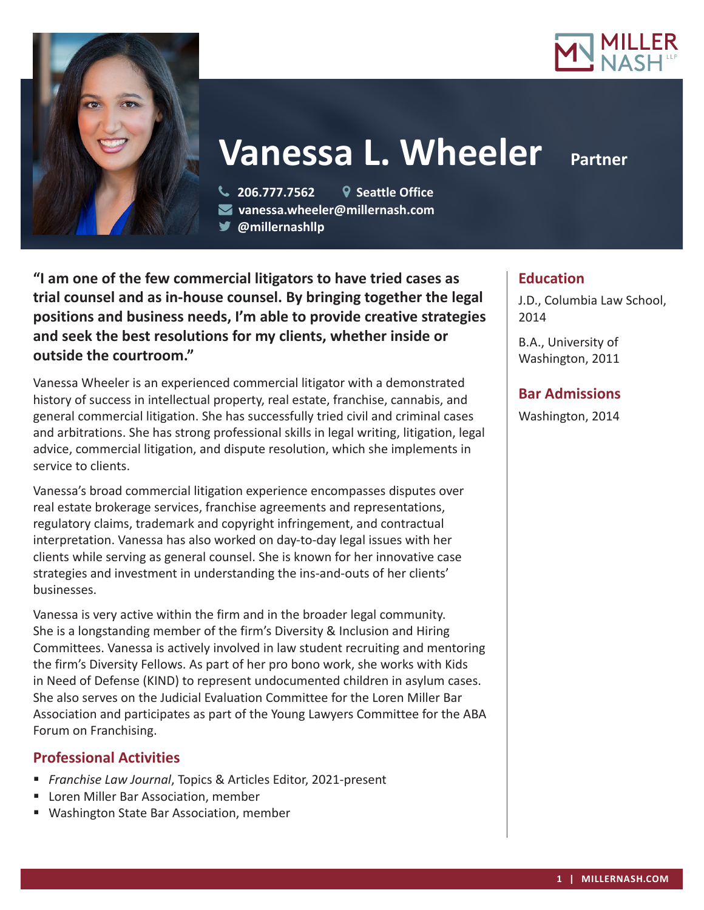



# **Vanessa L. Wheeler Partner**

 **206.777.7562 Seattle Office vanessa.wheeler@millernash.com @millernashllp** 

**"I am one of the few commercial litigators to have tried cases as trial counsel and as in-house counsel. By bringing together the legal positions and business needs, I'm able to provide creative strategies and seek the best resolutions for my clients, whether inside or outside the courtroom."**

Vanessa Wheeler is an experienced commercial litigator with a demonstrated history of success in intellectual property, real estate, franchise, cannabis, and general commercial litigation. She has successfully tried civil and criminal cases and arbitrations. She has strong professional skills in legal writing, litigation, legal advice, commercial litigation, and dispute resolution, which she implements in service to clients.

Vanessa's broad commercial litigation experience encompasses disputes over real estate brokerage services, franchise agreements and representations, regulatory claims, trademark and copyright infringement, and contractual interpretation. Vanessa has also worked on day-to-day legal issues with her clients while serving as general counsel. She is known for her innovative case strategies and investment in understanding the ins-and-outs of her clients' businesses.

Vanessa is very active within the firm and in the broader legal community. She is a longstanding member of the firm's Diversity & Inclusion and Hiring Committees. Vanessa is actively involved in law student recruiting and mentoring the firm's Diversity Fellows. As part of her pro bono work, she works with Kids in Need of Defense (KIND) to represent undocumented children in asylum cases. She also serves on the Judicial Evaluation Committee for the Loren Miller Bar Association and participates as part of the Young Lawyers Committee for the ABA Forum on Franchising.

## **Professional Activities**

- *Franchise Law Journal*, Topics & Articles Editor, 2021-present
- **Loren Miller Bar Association, member**
- Washington State Bar Association, member

# **Education**

J.D., Columbia Law School, 2014

B.A., University of Washington, 2011

# **Bar Admissions**

Washington, 2014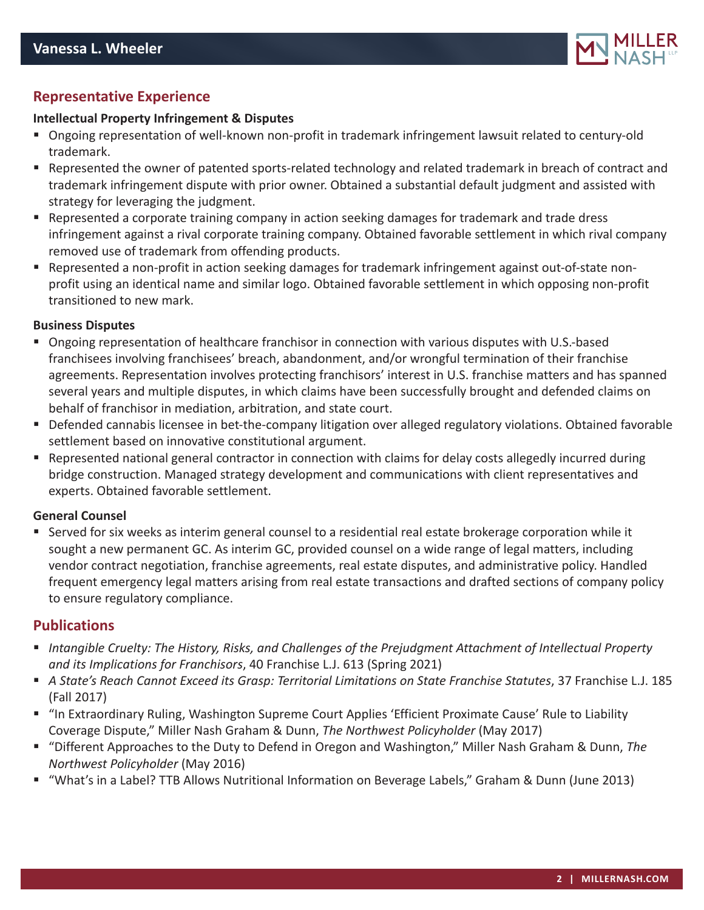

# **Representative Experience**

#### **Intellectual Property Infringement & Disputes**

- Ongoing representation of well-known non-profit in trademark infringement lawsuit related to century-old trademark.
- Represented the owner of patented sports-related technology and related trademark in breach of contract and trademark infringement dispute with prior owner. Obtained a substantial default judgment and assisted with strategy for leveraging the judgment.
- Represented a corporate training company in action seeking damages for trademark and trade dress infringement against a rival corporate training company. Obtained favorable settlement in which rival company removed use of trademark from offending products.
- Represented a non-profit in action seeking damages for trademark infringement against out-of-state nonprofit using an identical name and similar logo. Obtained favorable settlement in which opposing non-profit transitioned to new mark.

#### **Business Disputes**

- Ongoing representation of healthcare franchisor in connection with various disputes with U.S.-based franchisees involving franchisees' breach, abandonment, and/or wrongful termination of their franchise agreements. Representation involves protecting franchisors' interest in U.S. franchise matters and has spanned several years and multiple disputes, in which claims have been successfully brought and defended claims on behalf of franchisor in mediation, arbitration, and state court.
- Defended cannabis licensee in bet-the-company litigation over alleged regulatory violations. Obtained favorable settlement based on innovative constitutional argument.
- Represented national general contractor in connection with claims for delay costs allegedly incurred during bridge construction. Managed strategy development and communications with client representatives and experts. Obtained favorable settlement.

#### **General Counsel**

 Served for six weeks as interim general counsel to a residential real estate brokerage corporation while it sought a new permanent GC. As interim GC, provided counsel on a wide range of legal matters, including vendor contract negotiation, franchise agreements, real estate disputes, and administrative policy. Handled frequent emergency legal matters arising from real estate transactions and drafted sections of company policy to ensure regulatory compliance.

### **Publications**

- *Intangible Cruelty: The History, Risks, and Challenges of the Prejudgment Attachment of Intellectual Property and its Implications for Franchisors*, 40 Franchise L.J. 613 (Spring 2021)
- *A State's Reach Cannot Exceed its Grasp: Territorial Limitations on State Franchise Statutes*, 37 Franchise L.J. 185 (Fall 2017)
- "In Extraordinary Ruling, Washington Supreme Court Applies 'Efficient Proximate Cause' Rule to Liability Coverage Dispute," Miller Nash Graham & Dunn, *The Northwest Policyholder* (May 2017)
- "Different Approaches to the Duty to Defend in Oregon and Washington," Miller Nash Graham & Dunn, *The Northwest Policyholder* (May 2016)
- "What's in a Label? TTB Allows Nutritional Information on Beverage Labels," Graham & Dunn (June 2013)